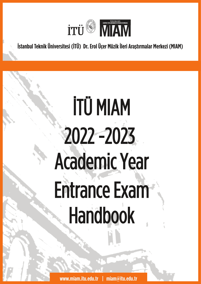

**İstanbul Teknik Üniversitesi (İTÜ) Dr. Erol Üçer Müzik İleri Araştırmalar Merkezi (MIAM)**

# İTÜ MIAM 2022 -2023 Academic Year Entrance Exam Handbook

**www.miam.itu.edu.tr | miam@itu.edu.tr**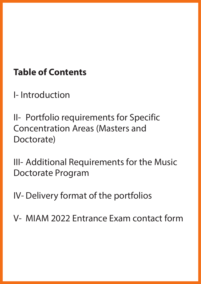# **Table of Contents**

I- Introduction

II- Portfolio requirements for Specific Concentration Areas (Masters and Doctorate)

III- Additional Requirements for the Music Doctorate Program

IV- Delivery format of the portfolios

V- MIAM 2022 Entrance Exam contact form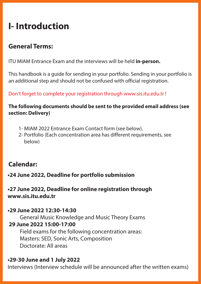# **I- Introduction**

## **General Terms:**

ITU MIAM Entrance Exam and the interviews will be held **in-person.**

This handbook is a guide for sending in your portfolio. Sending in your portfolio is an additional step and should not be confused with official registration.

Don't forget to complete your registration through [www.sis.itu.edu.tr !](http://www.sis.itu.edu.tr)

#### **The following documents should be sent to the provided email address (see section: Delivery)**

- 1- MIAM 2022 Entrance Exam Contact form (see below).
- 2- Portfolio (Each concentration area has different requirements, see below)

## **Calendar:**

#### **•24 June 2022, Deadline for portfolio submission**

**•27 June 2022, Deadline for online registration through www.sis.itu.edu.tr**

#### **•29 June 2022 12:30-14:30**

General Music Knowledge and Music Theory Exams  **29 June 2022 15:00-17:00**  Field exams for the following concentration areas: Masters: SED, Sonic Arts, Composition

Doctorate: All areas

#### **•29-30 June and 1 July 2022**

Interviews (Interview schedule will be announced after the written exams)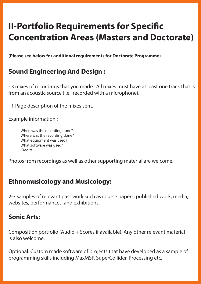# **II-Portfolio Requirements for Specific Concentration Areas (Masters and Doctorate)**

**(Please see below for additional requirements for Doctorate Programme)**

## **Sound Engineering And Design :**

- 3 mixes of recordings that you made. All mixes must have at least one track that is from an acoustic source (i.e., recorded with a microphone).

- 1 Page description of the mixes sent.

Example information :

When was the recording done? Where was the recording done? What equipment was used? What software was used? Credits.

Photos from recordings as well as other supporting material are welcome.

#### **Ethnomusicology and Musicology:**

2-3 samples of relevant past work such as course papers, published work, media, websites, performances, and exhibitions.

#### **Sonic Arts:**

Composition portfolio (Audio + Scores if available). Any other relevant material is also welcome.

Optional: Custom made software of projects that have developed as a sample of programming skills including MaxMSP, SuperCollider, Processing etc.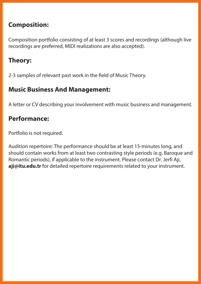### **Composition:**

Composition portfolio consisting of at least 3 scores and recordings (although live recordings are preferred, MIDI realizations are also accepted).

### **Theory:**

2-3 samples of relevant past work in the field of Music Theory.

## **Music Business And Management:**

A letter or CV describing your involvement with music business and management.

## **Performance:**

Portfolio is not required.

Audition repertoire: The performance should be at least 15-minutes long, and should contain works from at least two contrasting style periods (e.g. Baroque and Romantic periods), if applicable to the instrument. Please contact Dr. Jerfi Aji, **aji@itu.edu.tr** for detailed repertoire requirements related to your instrument.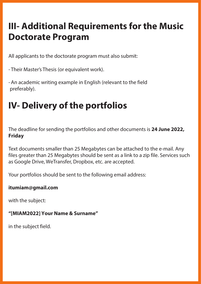# **III- Additional Requirements for the Music Doctorate Program**

All applicants to the doctorate program must also submit:

- Their Master's Thesis (or equivalent work).

- An academic writing example in English (relevant to the field preferably).

# **IV- Delivery of the portfolios**

The deadline for sending the portfolios and other documents is **24 June 2022, Friday**

Text documents smaller than 25 Megabytes can be attached to the e-mail. Any files greater than 25 Megabytes should be sent as a link to a zip file. Services such as Google Drive, WeTransfer, Dropbox, etc. are accepted.

Your portfolios should be sent to the following email address:

#### **itumiam@gmail.com**

with the subject:

#### **"[MIAM2022] Your Name & Surname"**

in the subject field.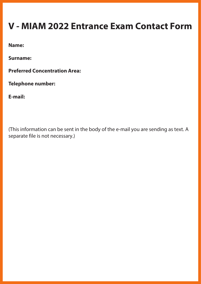## **V - MIAM 2022 Entrance Exam Contact Form**

**Name:** 

**Surname:**

**Preferred Concentration Area:**

**Telephone number:**

**E-mail:**

(This information can be sent in the body of the e-mail you are sending as text. A separate file is not necessary.)